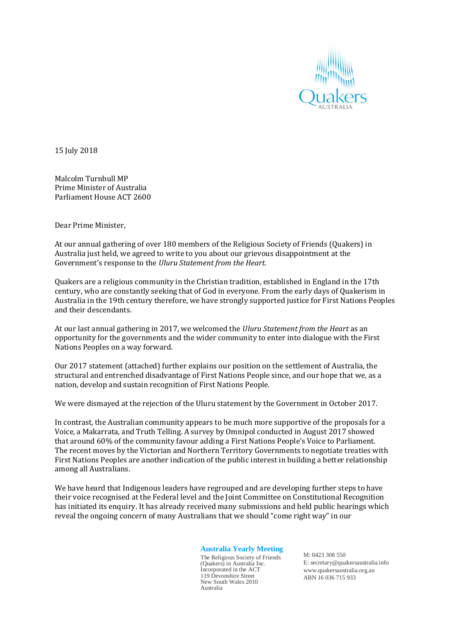

15 July 2018

Malcolm Turnbull MP Prime Minister of Australia Parliament House ACT 2600

Dear Prime Minister,

At our annual gathering of over 180 members of the Religious Society of Friends (Quakers) in Australia just held, we agreed to write to you about our grievous disappointment at the Government's response to the *Uluru Statement from the Heart*.

Quakers are a religious community in the Christian tradition, established in England in the 17th century, who are constantly seeking that of God in everyone. From the early days of Quakerism in Australia in the 19th century therefore, we have strongly supported justice for First Nations Peoples and their descendants.

At our last annual gathering in 2017, we welcomed the *Uluru Statement from the Heart* as an opportunity for the governments and the wider community to enter into dialogue with the First Nations Peoples on a way forward.

Our 2017 statement (attached) further explains our position on the settlement of Australia, the structural and entrenched disadvantage of First Nations People since, and our hope that we, as a nation, develop and sustain recognition of First Nations People.

We were dismayed at the rejection of the Uluru statement by the Government in October 2017.

In contrast, the Australian community appears to be much more supportive of the proposals for a Voice, a Makarrata, and Truth Telling. A survey by Omnipol conducted in August 2017 showed that around 60% of the community favour adding a First Nations People's Voice to Parliament. The recent moves by the Victorian and Northern Territory Governments to negotiate treaties with First Nations Peoples are another indication of the public interest in building a better relationship among all Australians.

We have heard that Indigenous leaders have regrouped and are developing further steps to have their voice recognised at the Federal level and the Joint Committee on Constitutional Recognition has initiated its enquiry. It has already received many submissions and held public hearings which reveal the ongoing concern of many Australians that we should "come right way" in our

## **Australia Yearly Meeting**

The Religious Society of Friends (Quakers) in Australia Inc. Incorporated in the ACT 119 Devonshire Street New South Wales 2010 Australia

M: 0423 308 550 E: secretary@quakersaustralia.info www.quakersaustralia.org.au ABN 16 036 715 933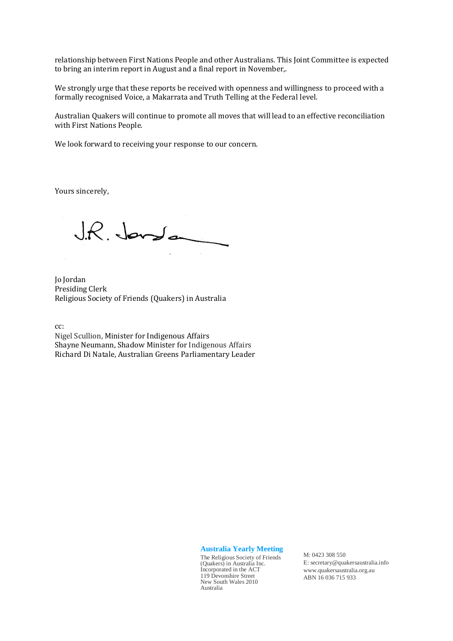relationship between First Nations People and other Australians. This Joint Committee is expected to bring an interim report in August and a final report in November,.

We strongly urge that these reports be received with openness and willingness to proceed with a formally recognised Voice, a Makarrata and Truth Telling at the Federal level.

Australian Quakers will continue to promote all moves that will lead to an effective reconciliation with First Nations People.

We look forward to receiving your response to our concern.

Yours sincerely,

 $J.R.$  Janslan

Jo Jordan Presiding Clerk Religious Society of Friends (Quakers) in Australia

cc:

Nigel Scullion, Minister for Indigenous Affairs Shayne Neumann, Shadow Minister for Indigenous Affairs Richard Di Natale, Australian Greens Parliamentary Leader

**Australia Yearly Meeting**

The Religious Society of Friends (Quakers) in Australia Inc. Incorporated in the ACT 119 Devonshire Street New South Wales 2010 Australia

M: 0423 308 550 E: secretary@quakersaustralia.info www.quakersaustralia.org.au ABN 16 036 715 933